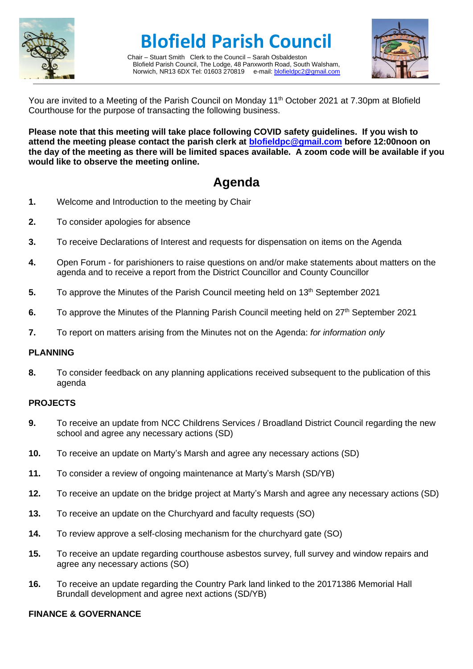

# **Blofield Parish Council**

Chair – Stuart Smith Clerk to the Council – Sarah Osbaldeston Blofield Parish Council, The Lodge, 48 Panxworth Road, South Walsham, Norwich, NR13 6DX Tel: 01603 270819 e-mail: [blofieldpc2@gmail.com](mailto:blofieldpc2@gmail.com)



You are invited to a Meeting of the Parish Council on Monday 11<sup>th</sup> October 2021 at 7.30pm at Blofield Courthouse for the purpose of transacting the following business.

**Please note that this meeting will take place following COVID safety guidelines. If you wish to attend the meeting please contact the parish clerk at [blofieldpc@gmail.com](mailto:blofieldpc@gmail.com) before 12:00noon on the day of the meeting as there will be limited spaces available. A zoom code will be available if you would like to observe the meeting online.** 

## **Agenda**

- **1.** Welcome and Introduction to the meeting by Chair
- **2.** To consider apologies for absence
- **3.** To receive Declarations of Interest and requests for dispensation on items on the Agenda
- **4.** Open Forum for parishioners to raise questions on and/or make statements about matters on the agenda and to receive a report from the District Councillor and County Councillor
- **5.** To approve the Minutes of the Parish Council meeting held on 13<sup>th</sup> September 2021
- **6.** To approve the Minutes of the Planning Parish Council meeting held on 27th September 2021
- **7.** To report on matters arising from the Minutes not on the Agenda: *for information only*

#### **PLANNING**

**8.** To consider feedback on any planning applications received subsequent to the publication of this agenda

#### **PROJECTS**

- **9.** To receive an update from NCC Childrens Services / Broadland District Council regarding the new school and agree any necessary actions (SD)
- **10.** To receive an update on Marty's Marsh and agree any necessary actions (SD)
- **11.** To consider a review of ongoing maintenance at Marty's Marsh (SD/YB)
- **12.** To receive an update on the bridge project at Marty's Marsh and agree any necessary actions (SD)
- **13.** To receive an update on the Churchyard and faculty requests (SO)
- **14.** To review approve a self-closing mechanism for the churchyard gate (SO)
- **15.** To receive an update regarding courthouse asbestos survey, full survey and window repairs and agree any necessary actions (SO)
- **16.** To receive an update regarding the Country Park land linked to the 20171386 Memorial Hall Brundall development and agree next actions (SD/YB)

#### **FINANCE & GOVERNANCE**